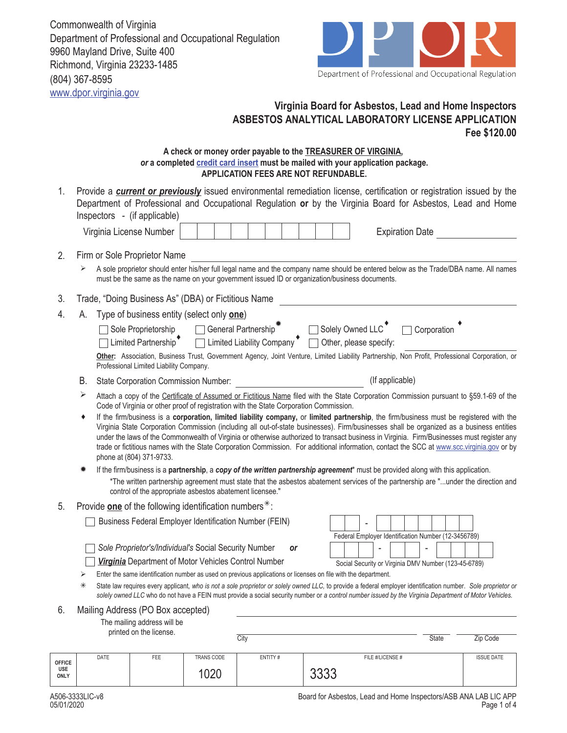Commonwealth of Virginia Department of Professional and Occupational Regulation 9960 Mayland Drive, Suite 400 Richmond, Virginia 23233-1485 (804) 367-8595 www.dpor.virginia.gov



## **Virginia Board for Asbestos, Lead and Home Inspectors ASBESTOS ANALYTICAL LABORATORY LICENSE APPLICATION Fee \$120.00**

## **A check or money order payable to the TREASURER OF VIRGINIA,**  *or* **a completed credit card insert must be mailed with your application package. APPLICATION FEES ARE NOT REFUNDABLE.**

- Virginia License Number | | | | | | | | | | | | Expiration Date Provide a *current or previously* issued environmental remediation license, certification or registration issued by the Department of Professional and Occupational Regulation **or** by the Virginia Board for Asbestos, Lead and Home Inspectors - (if applicable) 1. 2. Firm or Sole Proprietor Name A sole proprietor should enter his/her full legal name and the company name should be entered below as the Trade/DBA name. All names must be the same as the name on your government issued ID or organization/business documents. 3. Trade, "Doing Business As" (DBA) or Fictitious Name 4. A. Type of business entity (select only **one**)  $\Box$  Sole Proprietorship  $\Box$  General Partnership  $\bar{\mathbb{R}}$   $\Box$  Solely Owned LLC  $\Box$  Other, please specify: □ Corporation  $\Box$  Limited Liability Company ♦ □ Limited Partnership ♦ ♦ ☀ B. State Corporation Commission Number: (If applicable) **Other:** Association, Business Trust, Government Agency, Joint Venture, Limited Liability Partnership, Non Profit, Professional Corporation, or Professional Limited Liability Company.
	- Attach a copy of the Certificate of Assumed or Fictitious Name filed with the State Corporation Commission pursuant to §59.1-69 of the Code of Virginia or other proof of registration with the State Corporation Commission.  $\blacktriangleright$
	- ♦ If the firm/business is a **corporation, limited liability company,** or **limited partnership**, the firm/business must be registered with the Virginia State Corporation Commission (including all out-of-state businesses). Firm/businesses shall be organized as a business entities under the laws of the Commonwealth of Virginia or otherwise authorized to transact business in Virginia. Firm/Businesses must register any trade or fictitious names with the State Corporation Commission. For additional information, contact the SCC at www.scc.virginia.gov or by phone at (804) 371-9733.
	- \*The written partnership agreement must state that the asbestos abatement services of the partnership are "...under the direction and control of the appropriate asbestos abatement licensee." If the firm/business is a **partnership**, a *copy of the written partnership agreement*\* must be provided along with this application.
- 5. Provide **one** of the following identification numbers<sup>\*</sup>:

**Business Federal Employer Identification Number (FEIN)** 

*Sole Proprietor's/Individual's* Social Security Number *or*

| Virginia Department of Motor Vehicles Control Number |  |
|------------------------------------------------------|--|
|------------------------------------------------------|--|

|                                                      |  | Federal Employer Identification Number (12-3456789) |  |  |  |  |  |
|------------------------------------------------------|--|-----------------------------------------------------|--|--|--|--|--|
|                                                      |  |                                                     |  |  |  |  |  |
| Social Security or Virginia DMV Number (123-45-6789) |  |                                                     |  |  |  |  |  |

 $\triangleright$  Enter the same identification number as used on previous applications or licenses on file with the department.

 State law requires every applicant*, who is not a sole proprietor or solely owned LLC,* to provide a federal employer identification number. *Sole proprietor or solely owned LLC* who do not have a FEIN must provide a social security number or *a control number issued by the Virginia Department of Motor Vehicles.*

6. Mailing Address (PO Box accepted)

The mailing address will be

printed on the license.

City **State** Zip Code

| <b>OFFICE</b> | DATE | FEE | <b>TRANS CODE</b> | ENTITY# | FILE #/LICENSE # | <b>ISSUE DATE</b> |
|---------------|------|-----|-------------------|---------|------------------|-------------------|
| USE<br>ONLY   |      |     | 020               |         | nnnn<br>∪∪∪      |                   |

 $\sqrt{ }$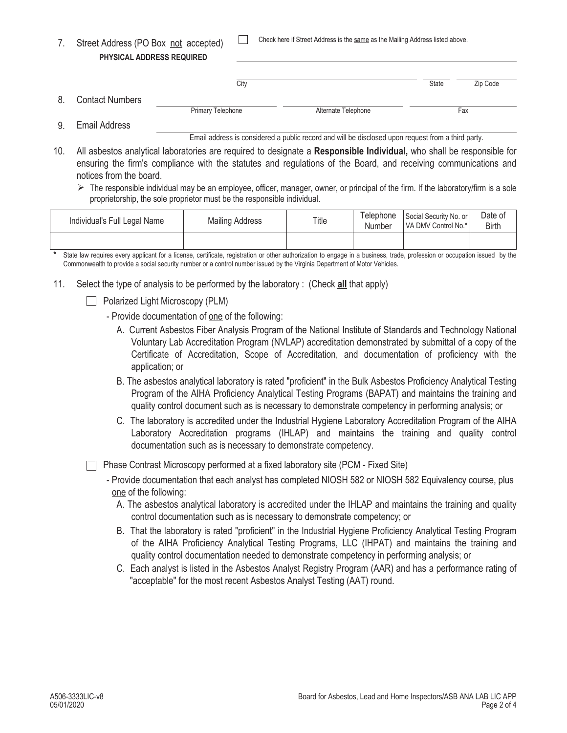|  | Check here if Street Address is the same as the Mailing Address listed above. |
|--|-------------------------------------------------------------------------------|
|--|-------------------------------------------------------------------------------|

|    | PHYSICAL ADDRESS REQUIRED |                   |                     |              |          |
|----|---------------------------|-------------------|---------------------|--------------|----------|
|    |                           |                   |                     |              |          |
|    |                           | City              |                     | <b>State</b> | Zip Code |
| 8. | <b>Contact Numbers</b>    |                   |                     |              |          |
|    |                           | Primary Telephone | Alternate Telephone |              | Fax      |
|    |                           |                   |                     |              |          |

Email Address 9.

7. Street Address (PO Box not accepted)

Email address is considered a public record and will be disclosed upon request from a third party.

- 10. All asbestos analytical laboratories are required to designate a **Responsible Individual,** who shall be responsible for ensuring the firm's compliance with the statutes and regulations of the Board, and receiving communications and notices from the board.
	- $\triangleright$  The responsible individual may be an employee, officer, manager, owner, or principal of the firm. If the laboratory/firm is a sole proprietorship, the sole proprietor must be the responsible individual.

| Individual's Full Legal Name | <b>Mailing Address</b> | Title | Telephone<br>Number | Social Security No. or I<br>VA DMV Control No.* | Date of<br>Birth |
|------------------------------|------------------------|-------|---------------------|-------------------------------------------------|------------------|
|                              |                        |       |                     |                                                 |                  |

State law requires every applicant for a license, certificate, registration or other authorization to engage in a business, trade, profession or occupation issued by the Commonwealth to provide a social security number or a control number issued by the Virginia Department of Motor Vehicles.

- 11. Select the type of analysis to be performed by the laboratory : (Check **all** that apply)
	- Polarized Light Microscopy (PLM)
		- Provide documentation of one of the following:
			- A. Current Asbestos Fiber Analysis Program of the National Institute of Standards and Technology National Voluntary Lab Accreditation Program (NVLAP) accreditation demonstrated by submittal of a copy of the Certificate of Accreditation, Scope of Accreditation, and documentation of proficiency with the application; or
			- B. The asbestos analytical laboratory is rated "proficient" in the Bulk Asbestos Proficiency Analytical Testing Program of the AIHA Proficiency Analytical Testing Programs (BAPAT) and maintains the training and quality control document such as is necessary to demonstrate competency in performing analysis; or
			- C. The laboratory is accredited under the Industrial Hygiene Laboratory Accreditation Program of the AIHA Laboratory Accreditation programs (IHLAP) and maintains the training and quality control documentation such as is necessary to demonstrate competency.

**Phase Contrast Microscopy performed at a fixed laboratory site (PCM - Fixed Site)** 

- Provide documentation that each analyst has completed NIOSH 582 or NIOSH 582 Equivalency course, plus one of the following:
	- A. The asbestos analytical laboratory is accredited under the IHLAP and maintains the training and quality control documentation such as is necessary to demonstrate competency; or
	- B. That the laboratory is rated "proficient" in the Industrial Hygiene Proficiency Analytical Testing Program of the AIHA Proficiency Analytical Testing Programs, LLC (IHPAT) and maintains the training and quality control documentation needed to demonstrate competency in performing analysis; or
	- C. Each analyst is listed in the Asbestos Analyst Registry Program (AAR) and has a performance rating of "acceptable" for the most recent Asbestos Analyst Testing (AAT) round.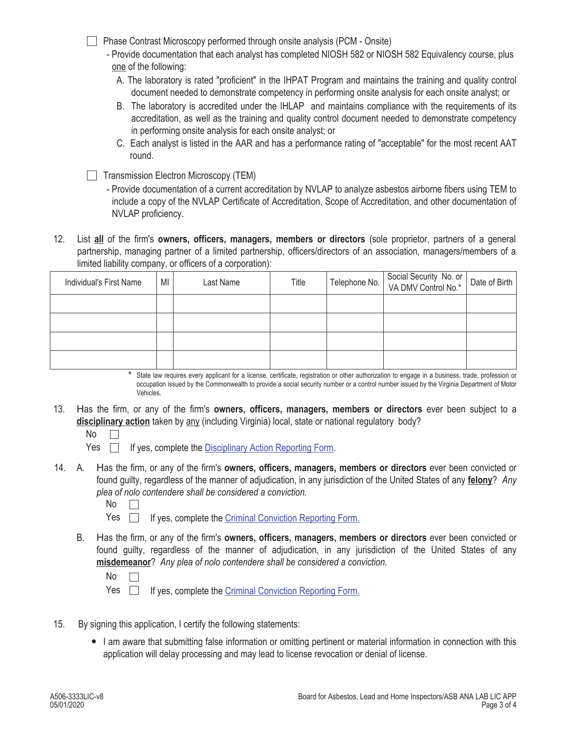- □ Phase Contrast Microscopy performed through onsite analysis (PCM Onsite)
	- Provide documentation that each analyst has completed NIOSH 582 or NIOSH 582 Equivalency course, plus one of the following:
		- A. The laboratory is rated "proficient" in the IHPAT Program and maintains the training and quality control document needed to demonstrate competency in performing onsite analysis for each onsite analyst; or
		- B. The laboratory is accredited under the IHLAP and maintains compliance with the requirements of its accreditation, as well as the training and quality control document needed to demonstrate competency in performing onsite analysis for each onsite analyst; or
		- C. Each analyst is listed in the AAR and has a performance rating of "acceptable" for the most recent AAT round.
- $\Box$  Transmission Electron Microscopy (TEM)
	- Provide documentation of a current accreditation by NVLAP to analyze asbestos airborne fibers using TEM to include a copy of the NVLAP Certificate of Accreditation, Scope of Accreditation, and other documentation of NVLAP proficiency.
- 12. List **all** of the firm's **owners, officers, managers, members or directors** (sole proprietor, partners of a general partnership, managing partner of a limited partnership, officers/directors of an association, managers/members of a limited liability company, or officers of a corporation):

| Individual's First Name | MI | Last Name | Title | Telephone No. Social Security No. or  <br>VA DMV Control No.* | Date of Birth |
|-------------------------|----|-----------|-------|---------------------------------------------------------------|---------------|
|                         |    |           |       |                                                               |               |
|                         |    |           |       |                                                               |               |
|                         |    |           |       |                                                               |               |
|                         |    |           |       |                                                               |               |

State law requires every applicant for a license, certificate, registration or other authorization to engage in a business, trade, profession or occupation issued by the Commonwealth to provide a social security number or a control number issued by the Virginia Department of Motor Vehicles. \*

- 13. Has the firm, or any of the firm's **owners, officers, managers, members or directors** ever been subject to a **disciplinary action** taken by any (including Virginia) local, state or national regulatory body?
	- $No$   $\Box$

 $Yes \fbox{if yes, complete the *Disciplinary Action* Reporting Form.}$ 

A. 14. Has the firm, or any of the firm's **owners, officers, managers, members or directors** ever been convicted or found guilty, regardless of the manner of adjudication, in any jurisdiction of the United States of any **felony**? *Any plea of nolo contendere shall be considered a conviction.*

| ۰.<br>× |  |
|---------|--|
|         |  |

Yes  $\Box$ If yes, complete the Criminal Conviction Reporting Form.

B. Has the firm, or any of the firm's **owners, officers, managers, members or directors** ever been convicted or found guilty, regardless of the manner of adjudication, in any jurisdiction of the United States of any **misdemeanor**? *Any plea of nolo contendere shall be considered a conviction.*

Yes **If yes, complete the Criminal Conviction Reporting Form.** 

- 15. By signing this application, I certify the following statements:
	- I am aware that submitting false information or omitting pertinent or material information in connection with this application will delay processing and may lead to license revocation or denial of license.

No